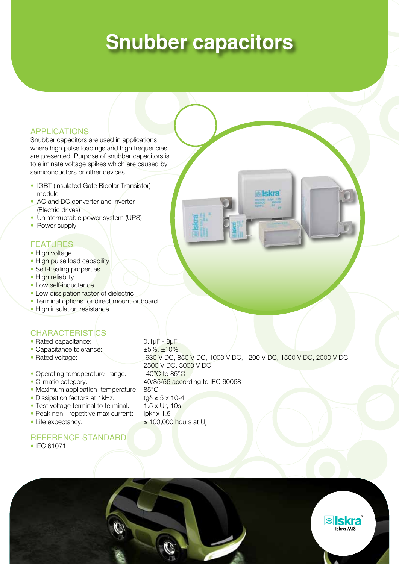# **Snubber capacitors**

#### APPLICATIONS

Snubber capacitors are used in applications where high pulse loadings and high frequencies are presented. Purpose of snubber capacitors is to eliminate voltage spikes which are caused by semiconductors or other devices.

- IGBT (Insulated Gate Bipolar Transistor) module
- AC and DC converter and inverter (Electric drives)
- Uninterruptable power system (UPS)
- Power supply

#### FEATURES

- High voltage
- High pulse load capability
- Self-healing properties
- High reliabilty
- Low self-inductance
- Low dissipation factor of dielectric
- Terminal options for direct mount or board
- High insulation resistance

#### **CHARACTERISTICS**

- Rated capacitance: 0.1µF 8µF
- Capacitance tolerance:  $\pm 5\%, \pm 10\%$
- 
- Operating temeperature range: -40°C to 85°C
- 
- Maximum application temperature: 85°C
- Dissipation factors at 1kHz:  $\qquad \qquad \text{tgδ} ≤ 5 × 10-4$
- Test voltage terminal to terminal: 1.5 x Ur, 10s
- Peak non repetitive max current: Ipkr x 1.5
- 

#### Reference standard

• IEC 61071

• Rated voltage: 630 V DC, 850 V DC, 1000 V DC, 1200 V DC, 1500 V DC, 2000 V DC, 2500 V DC, 3000 V DC • Climatic category: 40/85/56 according to IEC 60068 • Life expectancy:  $\geq 100,000$  hours at U<sub>r</sub>

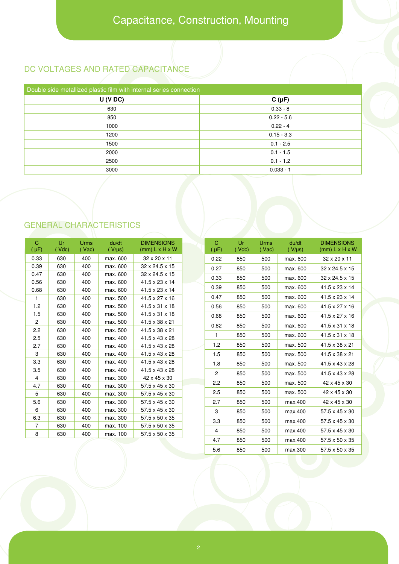### DC VOLTAGES AND RATED CAPACITANCE

| Double side metallized plastic film with internal series connection |              |  |  |  |  |  |  |
|---------------------------------------------------------------------|--------------|--|--|--|--|--|--|
| U (V DC)                                                            | $C(\mu F)$   |  |  |  |  |  |  |
| 630                                                                 | $0.33 - 8$   |  |  |  |  |  |  |
| 850                                                                 | $0.22 - 5.6$ |  |  |  |  |  |  |
| 1000                                                                | $0.22 - 4$   |  |  |  |  |  |  |
| 1200                                                                | $0.15 - 3.3$ |  |  |  |  |  |  |
| 1500                                                                | $0.1 - 2.5$  |  |  |  |  |  |  |
| 2000                                                                | $0.1 - 1.5$  |  |  |  |  |  |  |
| 2500                                                                | $0.1 - 1.2$  |  |  |  |  |  |  |
| 3000                                                                | $0.033 - 1$  |  |  |  |  |  |  |
|                                                                     |              |  |  |  |  |  |  |

# GENERAL CHARACTERISTICS

| $\mathbf C$<br>Ur<br>du/dt<br>$\mathbf C$<br>Ur.<br><b>Urms</b><br><b>Urms</b><br>du/dt<br><b>DIMENSIONS</b><br>$(\mu F)$<br>(Vdc)<br>$(mm)$ L x H x W<br>(Vdc)<br>$(V/\mu s)$<br>$($ Vac $)$<br>$(V/\mu s)$<br>$(\mu F)$<br>$($ Vac $)$<br>0.33<br>630<br>32 x 20 x 11<br>400<br>max. 600<br>0.22<br>850<br>500<br>max. 600<br>0.39<br>630<br>32 x 24.5 x 15<br>400<br>max. 600<br>0.27<br>850<br>500<br>max. 600<br>0.47<br>630<br>max. 600<br>32 x 24.5 x 15<br>400<br>0.33<br>850<br>500<br>max. 600<br>0.56<br>630<br>400<br>max. 600<br>$41.5 \times 23 \times 14$<br>0.39<br>41.5 x 23 x 14<br>850<br>500<br>max. 600<br>630<br>0.68<br>400<br>max. 600<br>41.5 x 23 x 14<br>0.47<br>850<br>500<br>max. 600<br>$\mathbf{1}$<br>630<br>41.5 x 27 x 16<br>400<br>max. 500<br>1.2<br>630<br>400<br>max. 500<br>$41.5 \times 31 \times 18$<br>850<br>0.56<br>500<br>max. 600<br>1.5<br>630<br>41.5 x 31 x 18<br>400<br>max. 500<br>0.68<br>850<br>500<br>max. 600<br>$\overline{c}$<br>630<br>400<br>max. 500<br>41.5 x 38 x 21<br>0.82<br>850<br>500<br>max. 600<br>2.2<br>630<br>400<br>max. 500<br>41.5 x 38 x 21<br>$41.5 \times 31 \times 18$<br>850<br>500<br>max. 600<br>1<br>2.5<br>41.5 x 43 x 28<br>630<br>400<br>max. 400<br>1.2<br>850<br>500<br>max. 500<br>41.5 x 43 x 28<br>2.7<br>630<br>400<br>max. 400<br>41.5 x 43 x 28<br>3<br>630<br>400<br>max. 400<br>1.5<br>850<br>500<br>max. 500<br>3.3<br>630<br>max. 400<br>41.5 x 43 x 28<br>400<br>1.8<br>850<br>500<br>max. 500<br>3.5<br>630<br>400<br>max. 400<br>41.5 x 43 x 28<br>$\overline{2}$<br>850<br>500<br>max. 500<br>630<br>4<br>400<br>max. 300<br>42 x 45 x 30<br>2.2<br>850<br>500<br>max. 500<br>630<br>57.5 x 45 x 30<br>4.7<br>400<br>max. 300<br>2.5<br>42 x 45 x 30<br>850<br>500<br>max. 500<br>5<br>57.5 x 45 x 30<br>630<br>max. 300<br>400<br>5.6<br>630<br>57.5 x 45 x 30<br>2.7<br>400<br>max. 300<br>500<br>850<br>max.400<br>6<br>630<br>400<br>max. 300<br>57.5 x 45 x 30<br>3<br>850<br>500<br>max.400<br>6.3<br>630<br>max. 300<br>57.5 x 50 x 35<br>400<br>3.3<br>500<br>850<br>max.400<br>$\overline{7}$<br>630<br>400<br>max. 100<br>57.5 x 50 x 35<br>4<br>850<br>500<br>max.400<br>8<br>57.5 x 50 x 35<br>630<br>400<br>max. 100 |  |  |  |     |     |     |         |                                       |
|-----------------------------------------------------------------------------------------------------------------------------------------------------------------------------------------------------------------------------------------------------------------------------------------------------------------------------------------------------------------------------------------------------------------------------------------------------------------------------------------------------------------------------------------------------------------------------------------------------------------------------------------------------------------------------------------------------------------------------------------------------------------------------------------------------------------------------------------------------------------------------------------------------------------------------------------------------------------------------------------------------------------------------------------------------------------------------------------------------------------------------------------------------------------------------------------------------------------------------------------------------------------------------------------------------------------------------------------------------------------------------------------------------------------------------------------------------------------------------------------------------------------------------------------------------------------------------------------------------------------------------------------------------------------------------------------------------------------------------------------------------------------------------------------------------------------------------------------------------------------------------------------------------------------------------------------------------------------------------------------------------------------------------------------------------------------------------------------------------------------------------------------------------------------------------------------------------------------------------------------|--|--|--|-----|-----|-----|---------|---------------------------------------|
|                                                                                                                                                                                                                                                                                                                                                                                                                                                                                                                                                                                                                                                                                                                                                                                                                                                                                                                                                                                                                                                                                                                                                                                                                                                                                                                                                                                                                                                                                                                                                                                                                                                                                                                                                                                                                                                                                                                                                                                                                                                                                                                                                                                                                                         |  |  |  |     |     |     |         | <b>DIMENSIONS</b><br>$(mm)$ L x H x W |
|                                                                                                                                                                                                                                                                                                                                                                                                                                                                                                                                                                                                                                                                                                                                                                                                                                                                                                                                                                                                                                                                                                                                                                                                                                                                                                                                                                                                                                                                                                                                                                                                                                                                                                                                                                                                                                                                                                                                                                                                                                                                                                                                                                                                                                         |  |  |  |     |     |     |         | 32 x 20 x 11                          |
|                                                                                                                                                                                                                                                                                                                                                                                                                                                                                                                                                                                                                                                                                                                                                                                                                                                                                                                                                                                                                                                                                                                                                                                                                                                                                                                                                                                                                                                                                                                                                                                                                                                                                                                                                                                                                                                                                                                                                                                                                                                                                                                                                                                                                                         |  |  |  |     |     |     |         | 32 x 24.5 x 15                        |
|                                                                                                                                                                                                                                                                                                                                                                                                                                                                                                                                                                                                                                                                                                                                                                                                                                                                                                                                                                                                                                                                                                                                                                                                                                                                                                                                                                                                                                                                                                                                                                                                                                                                                                                                                                                                                                                                                                                                                                                                                                                                                                                                                                                                                                         |  |  |  |     |     |     |         | 32 x 24.5 x 15                        |
|                                                                                                                                                                                                                                                                                                                                                                                                                                                                                                                                                                                                                                                                                                                                                                                                                                                                                                                                                                                                                                                                                                                                                                                                                                                                                                                                                                                                                                                                                                                                                                                                                                                                                                                                                                                                                                                                                                                                                                                                                                                                                                                                                                                                                                         |  |  |  |     |     |     |         |                                       |
|                                                                                                                                                                                                                                                                                                                                                                                                                                                                                                                                                                                                                                                                                                                                                                                                                                                                                                                                                                                                                                                                                                                                                                                                                                                                                                                                                                                                                                                                                                                                                                                                                                                                                                                                                                                                                                                                                                                                                                                                                                                                                                                                                                                                                                         |  |  |  |     |     |     |         |                                       |
|                                                                                                                                                                                                                                                                                                                                                                                                                                                                                                                                                                                                                                                                                                                                                                                                                                                                                                                                                                                                                                                                                                                                                                                                                                                                                                                                                                                                                                                                                                                                                                                                                                                                                                                                                                                                                                                                                                                                                                                                                                                                                                                                                                                                                                         |  |  |  |     |     |     |         | 41.5 x 23 x 14                        |
|                                                                                                                                                                                                                                                                                                                                                                                                                                                                                                                                                                                                                                                                                                                                                                                                                                                                                                                                                                                                                                                                                                                                                                                                                                                                                                                                                                                                                                                                                                                                                                                                                                                                                                                                                                                                                                                                                                                                                                                                                                                                                                                                                                                                                                         |  |  |  |     |     |     |         | 41.5 x 27 x 16                        |
|                                                                                                                                                                                                                                                                                                                                                                                                                                                                                                                                                                                                                                                                                                                                                                                                                                                                                                                                                                                                                                                                                                                                                                                                                                                                                                                                                                                                                                                                                                                                                                                                                                                                                                                                                                                                                                                                                                                                                                                                                                                                                                                                                                                                                                         |  |  |  |     |     |     |         | 41.5 x 27 x 16                        |
|                                                                                                                                                                                                                                                                                                                                                                                                                                                                                                                                                                                                                                                                                                                                                                                                                                                                                                                                                                                                                                                                                                                                                                                                                                                                                                                                                                                                                                                                                                                                                                                                                                                                                                                                                                                                                                                                                                                                                                                                                                                                                                                                                                                                                                         |  |  |  |     |     |     |         | $41.5 \times 31 \times 18$            |
|                                                                                                                                                                                                                                                                                                                                                                                                                                                                                                                                                                                                                                                                                                                                                                                                                                                                                                                                                                                                                                                                                                                                                                                                                                                                                                                                                                                                                                                                                                                                                                                                                                                                                                                                                                                                                                                                                                                                                                                                                                                                                                                                                                                                                                         |  |  |  |     |     |     |         |                                       |
|                                                                                                                                                                                                                                                                                                                                                                                                                                                                                                                                                                                                                                                                                                                                                                                                                                                                                                                                                                                                                                                                                                                                                                                                                                                                                                                                                                                                                                                                                                                                                                                                                                                                                                                                                                                                                                                                                                                                                                                                                                                                                                                                                                                                                                         |  |  |  |     |     |     |         |                                       |
|                                                                                                                                                                                                                                                                                                                                                                                                                                                                                                                                                                                                                                                                                                                                                                                                                                                                                                                                                                                                                                                                                                                                                                                                                                                                                                                                                                                                                                                                                                                                                                                                                                                                                                                                                                                                                                                                                                                                                                                                                                                                                                                                                                                                                                         |  |  |  |     |     |     |         | 41.5 x 38 x 21                        |
|                                                                                                                                                                                                                                                                                                                                                                                                                                                                                                                                                                                                                                                                                                                                                                                                                                                                                                                                                                                                                                                                                                                                                                                                                                                                                                                                                                                                                                                                                                                                                                                                                                                                                                                                                                                                                                                                                                                                                                                                                                                                                                                                                                                                                                         |  |  |  |     |     |     |         | 41.5 x 38 x 21                        |
|                                                                                                                                                                                                                                                                                                                                                                                                                                                                                                                                                                                                                                                                                                                                                                                                                                                                                                                                                                                                                                                                                                                                                                                                                                                                                                                                                                                                                                                                                                                                                                                                                                                                                                                                                                                                                                                                                                                                                                                                                                                                                                                                                                                                                                         |  |  |  |     |     |     |         | 41.5 x 43 x 28                        |
|                                                                                                                                                                                                                                                                                                                                                                                                                                                                                                                                                                                                                                                                                                                                                                                                                                                                                                                                                                                                                                                                                                                                                                                                                                                                                                                                                                                                                                                                                                                                                                                                                                                                                                                                                                                                                                                                                                                                                                                                                                                                                                                                                                                                                                         |  |  |  |     |     |     |         | 41.5 x 43 x 28                        |
|                                                                                                                                                                                                                                                                                                                                                                                                                                                                                                                                                                                                                                                                                                                                                                                                                                                                                                                                                                                                                                                                                                                                                                                                                                                                                                                                                                                                                                                                                                                                                                                                                                                                                                                                                                                                                                                                                                                                                                                                                                                                                                                                                                                                                                         |  |  |  |     |     |     |         | 42 x 45 x 30                          |
|                                                                                                                                                                                                                                                                                                                                                                                                                                                                                                                                                                                                                                                                                                                                                                                                                                                                                                                                                                                                                                                                                                                                                                                                                                                                                                                                                                                                                                                                                                                                                                                                                                                                                                                                                                                                                                                                                                                                                                                                                                                                                                                                                                                                                                         |  |  |  |     |     |     |         |                                       |
|                                                                                                                                                                                                                                                                                                                                                                                                                                                                                                                                                                                                                                                                                                                                                                                                                                                                                                                                                                                                                                                                                                                                                                                                                                                                                                                                                                                                                                                                                                                                                                                                                                                                                                                                                                                                                                                                                                                                                                                                                                                                                                                                                                                                                                         |  |  |  |     |     |     |         |                                       |
|                                                                                                                                                                                                                                                                                                                                                                                                                                                                                                                                                                                                                                                                                                                                                                                                                                                                                                                                                                                                                                                                                                                                                                                                                                                                                                                                                                                                                                                                                                                                                                                                                                                                                                                                                                                                                                                                                                                                                                                                                                                                                                                                                                                                                                         |  |  |  |     |     |     |         | 42 x 45 x 30                          |
|                                                                                                                                                                                                                                                                                                                                                                                                                                                                                                                                                                                                                                                                                                                                                                                                                                                                                                                                                                                                                                                                                                                                                                                                                                                                                                                                                                                                                                                                                                                                                                                                                                                                                                                                                                                                                                                                                                                                                                                                                                                                                                                                                                                                                                         |  |  |  |     |     |     |         | 57.5 x 45 x 30                        |
|                                                                                                                                                                                                                                                                                                                                                                                                                                                                                                                                                                                                                                                                                                                                                                                                                                                                                                                                                                                                                                                                                                                                                                                                                                                                                                                                                                                                                                                                                                                                                                                                                                                                                                                                                                                                                                                                                                                                                                                                                                                                                                                                                                                                                                         |  |  |  |     |     |     |         | 57.5 x 45 x 30                        |
|                                                                                                                                                                                                                                                                                                                                                                                                                                                                                                                                                                                                                                                                                                                                                                                                                                                                                                                                                                                                                                                                                                                                                                                                                                                                                                                                                                                                                                                                                                                                                                                                                                                                                                                                                                                                                                                                                                                                                                                                                                                                                                                                                                                                                                         |  |  |  |     |     |     |         | 57.5 x 45 x 30                        |
|                                                                                                                                                                                                                                                                                                                                                                                                                                                                                                                                                                                                                                                                                                                                                                                                                                                                                                                                                                                                                                                                                                                                                                                                                                                                                                                                                                                                                                                                                                                                                                                                                                                                                                                                                                                                                                                                                                                                                                                                                                                                                                                                                                                                                                         |  |  |  | 4.7 | 850 | 500 | max.400 | 57.5 x 50 x 35                        |

5.6 850 500 max.300 57.5 x 50 x 35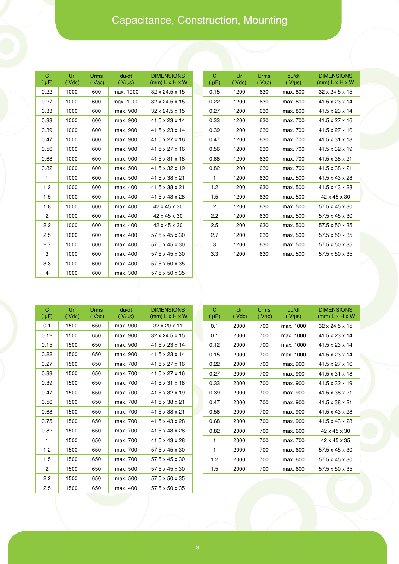## Capacitance, Construction, Mounting

| C<br>$(\mu F)$ | Ur<br>$($ $Vdc)$ | Urms<br>$($ Vac) | du/dt<br>$(V/\mu s)$ | <b>DIMENSIONS</b><br>$(mm)$ L x H x W |
|----------------|------------------|------------------|----------------------|---------------------------------------|
| 0.22           | 1000             | 600              | max. 1000            | 32 x 24.5 x 15                        |
| 0.27           | 1000             | 600              | max. 1000            | 32 x 24.5 x 15                        |
| 0.33           | 1000             | 600              | max. 900             | $32 \times 24.5 \times 15$            |
| 0.33           | 1000             | 600              | max. 900             | 41.5 x 23 x 14                        |
| 0.39           | 1000             | 600              | max. 900             | 41.5 x 23 x 14                        |
| 0.47           | 1000             | 600              | max. 900             | 41.5 x 27 x 16                        |
| 0.56           | 1000             | 600              | max. 900             | 41.5 x 27 x 16                        |
| 0.68           | 1000             | 600              | max. 900             | $41.5 \times 31 \times 18$            |
| 0.82           | 1000             | 600              | max. 500             | 41.5 x 32 x 19                        |
| 1              | 1000             | 600              | max. 500             | 41.5 x 38 x 21                        |
| 1.2            | 1000             | 600              | max. 400             | 41.5 x 38 x 21                        |
| 1.5            | 1000             | 600              | max. 400             | 41.5 x 43 x 28                        |
| 1.8            | 1000             | 600              | max. 400             | 42 x 45 x 30                          |
| 2              | 1000             | 600              | max. 400             | 42 x 45 x 30                          |
| 2.2            | 1000             | 600              | max. 400             | 42 x 45 x 30                          |
| 2.5            | 1000             | 600              | max. 400             | 57.5 x 45 x 30                        |
| 2.7            | 1000             | 600              | max. 400             | 57.5 x 45 x 30                        |
| 3              | 1000             | 600              | max. 400             | 57.5 x 45 x 30                        |
| 3.3            | 1000             | 600              | max. 400             | 57.5 x 50 x 35                        |
| 4              | 1000             | 600              | max. 300             | 57.5 x 50 x 35                        |

| C<br>$(\mu F)$ | Ur<br>$($ Vdc $)$ | Urms<br>(Vac) | du/dt<br>$(V/\mu s)$ | <b>DIMENSIONS</b><br>$(mm)$ L x H x W |
|----------------|-------------------|---------------|----------------------|---------------------------------------|
| 0.15           | 1200              | 630           | max. 800             | 32 x 24.5 x 15                        |
| 0.22           | 1200              | 630           | max. 800             | 41.5 x 23 x 14                        |
| 0.27           | 1200              | 630           | max. 800             | 41.5 x 23 x 14                        |
| 0.33           | 1200              | 630           | max. 700             | 41.5 x 27 x 16                        |
| 0.39           | 1200              | 630           | max. 700             | 41.5 x 27 x 16                        |
| 0.47           | 1200              | 630           | max. 700             | $41.5 \times 31 \times 18$            |
| 0.56           | 1200              | 630           | max. 700             | 41.5 x 32 x 19                        |
| 0.68           | 1200              | 630           | max. 700             | 41.5 x 38 x 21                        |
| 0.82           | 1200              | 630           | max. 700             | 41.5 x 38 x 21                        |
| 1              | 1200              | 630           | max. 500             | 41.5 x 43 x 28                        |
| 1.2            | 1200              | 630           | max. 500             | 41.5 x 43 x 28                        |
| 1.5            | 1200              | 630           | max. 500             | 42 x 45 x 30                          |
| 2              | 1200              | 630           | max. 500             | 57.5 x 45 x 30                        |
| 2.2            | 1200              | 630           | max. 500             | 57.5 x 45 x 30                        |
| 2.5            | 1200              | 630           | max. 500             | 57.5 x 50 x 35                        |
| 2.7            | 1200              | 630           | max. 500             | 57.5 x 50 x 35                        |
| 3              | 1200              | 630           | max. 500             | $57.5 \times 50 \times 35$            |
| 3.3            | 1200              | 630           | max. 500             | 57.5 x 50 x 35                        |

| C<br>$(\mu F)$ | Ur<br>$($ Vdc $)$ | Urms<br>$($ Vac $)$ | du/dt<br>$(V/\mu s)$ | <b>DIMENSIONS</b><br>$(mm)$ L x H x W |
|----------------|-------------------|---------------------|----------------------|---------------------------------------|
| 0.1            | 1500              | 650                 | max. 900             | $32 \times 20 \times 11$              |
| 0.12           | 1500              | 650                 | max. 900             | $32 \times 24.5 \times 15$            |
| 0.15           | 1500              | 650                 | max. 900             | 41.5 x 23 x 14                        |
| 0.22           | 1500              | 650                 | max. 900             | $41.5 \times 23 \times 14$            |
| 0.27           | 1500              | 650                 | max. 700             | $41.5 \times 27 \times 16$            |
| 0.33           | 1500              | 650                 | max. 700             | $41.5 \times 27 \times 16$            |
| 0.39           | 1500              | 650                 | max. 700             | 41.5 x 31 x 18                        |
| 0.47           | 1500              | 650                 | max. 700             | 41.5 x 32 x 19                        |
| 0.56           | 1500              | 650                 | max. 700             | 41.5 x 38 x 21                        |
| 0.68           | 1500              | 650                 | max. 700             | 41.5 x 38 x 21                        |
| 0.75           | 1500              | 650                 | max. 700             | 41.5 x 43 x 28                        |
| 0.82           | 1500              | 650                 | max. 700             | $41.5 \times 43 \times 28$            |
| 1              | 1500              | 650                 | max. 700             | $41.5 \times 43 \times 28$            |
| 1.2            | 1500              | 650                 | max. 700             | 57.5 x 45 x 30                        |
| 1.5            | 1500              | 650                 | max. 700             | 57.5 x 45 x 30                        |
| $\overline{c}$ | 1500              | 650                 | max. 500             | $57.5 \times 45 \times 30$            |
| 2.2            | 1500              | 650                 | max. 500             | $57.5 \times 50 \times 35$            |
| 2.5            | 1500              | 650                 | max. 400             | $57.5 \times 50 \times 35$            |

| C<br>$(\mu F)$ | Ur<br>$($ Vdc $)$ | Urms<br>(Vac) | du/dt<br>$(V/\mu s)$ | <b>DIMENSIONS</b><br>$(mm)$ L x H x W |
|----------------|-------------------|---------------|----------------------|---------------------------------------|
| 0.1            | 2000              | 700           | max. 1000            | 32 x 24.5 x 15                        |
| 0.1            | 2000              | 700           | max. 1000            | 41.5 x 23 x 14                        |
| 0.12           | 2000              | 700           | max. 1000            | 41.5 x 23 x 14                        |
| 0.15           | 2000              | 700           | max. 1000            | 41.5 x 23 x 14                        |
| 0.22           | 2000              | 700           | max. 900             | 41.5 x 27 x 16                        |
| 0.27           | 2000              | 700           | max. 900             | $41.5 \times 31 \times 18$            |
| 0.33           | 2000              | 700           | max. 900             | $41.5 \times 32 \times 19$            |
| 0.39           | 2000              | 700           | max. 900             | 41.5 x 38 x 21                        |
| 0.47           | 2000              | 700           | max. 900             | 41.5 x 38 x 21                        |
| 0.56           | 2000              | 700           | max. 900             | 41.5 x 43 x 28                        |
| 0.68           | 2000              | 700           | max. 900             | 41.5 x 43 x 28                        |
| 0.82           | 2000              | 700           | max. 600             | 42 x 45 x 30                          |
| 1              | 2000              | 700           | max. 700             | 42 x 45 x 35                          |
| 1              | 2000              | 700           | max. 600             | $57.5 \times 45 \times 30$            |
| 1.2            | 2000              | 700           | max. 600             | $57.5 \times 45 \times 30$            |
| 1.5            | 2000              | 700           | max. 600             | 57.5 x 50 x 35                        |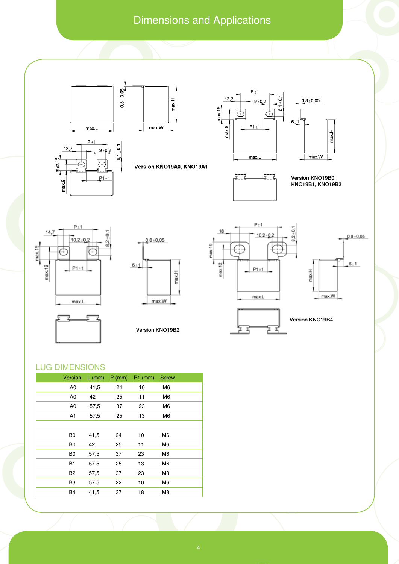### Dimensions and Applications





max.H  $max.W$ 

Version KNO19A0, KNO19A1











Version KNO19B2





፞ェ 콕

Version KNO19B4

#### Lug dimensions

| Version        | $L$ (mm) | $P$ (mm) | $P1$ (mm) | <b>Screw</b>   |
|----------------|----------|----------|-----------|----------------|
| A <sub>0</sub> | 41,5     | 24       | 10        | M <sub>6</sub> |
| A <sub>0</sub> | 42       | 25       | 11        | M <sub>6</sub> |
| A <sub>0</sub> | 57,5     | 37       | 23        | M <sub>6</sub> |
| A <sub>1</sub> | 57,5     | 25       | 13        | M <sub>6</sub> |
|                |          |          |           |                |
| B <sub>0</sub> | 41,5     | 24       | 10        | M <sub>6</sub> |
| B <sub>0</sub> | 42       | 25       | 11        | M <sub>6</sub> |
| B <sub>0</sub> | 57,5     | 37       | 23        | M <sub>6</sub> |
| <b>B1</b>      | 57,5     | 25       | 13        | M <sub>6</sub> |
| B <sub>2</sub> | 57,5     | 37       | 23        | M8             |
| B <sub>3</sub> | 57,5     | 22       | 10        | M <sub>6</sub> |
| <b>B4</b>      | 41,5     | 37       | 18        | M8             |
|                |          |          |           |                |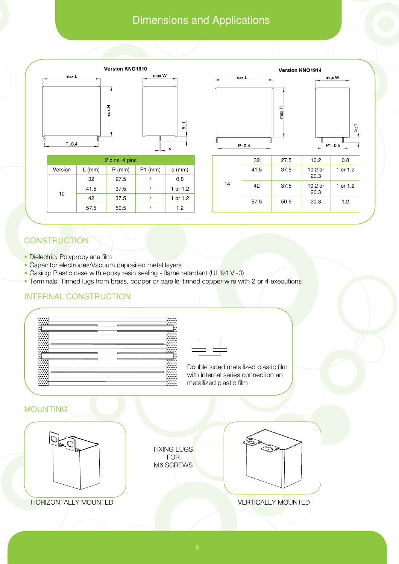### Dimensions and Applications



| 2 pins. 4 pins |          |          |           |          |  |  |  |
|----------------|----------|----------|-----------|----------|--|--|--|
| Version        | $L$ (mm) | $P$ (mm) | $P1$ (mm) | $d$ (mm) |  |  |  |
| 10             | 32       | 27.5     |           | 0.8      |  |  |  |
|                | 41.5     | 37.5     |           | 1 or 1.2 |  |  |  |
|                | 42       | 37.5     |           | 1 or 1.2 |  |  |  |
|                | 57.5     | 50.5     |           | 1.2      |  |  |  |



max.W

### **CONSTRUCTION**

- Dielectric: Polypropylene film
- Capacitor electrodes: Vacuum deposited metal layers
- Casing: Plastic case with epoxy resin sealing flame retardant (UL 94 V -0)
- Terminals: Tinned lugs from brass, copper or parallel tinned copper wire with 2 or 4 executions

### INTERNAL CONSTRUCTION





Double sided metallized plastic film with internal series connection an metallized plastic film

#### MOUNTING



HORIZONTALLY MOUNTED VERTICALLY MOUNTED

FIXING LUGS FOR M6 SCREWS

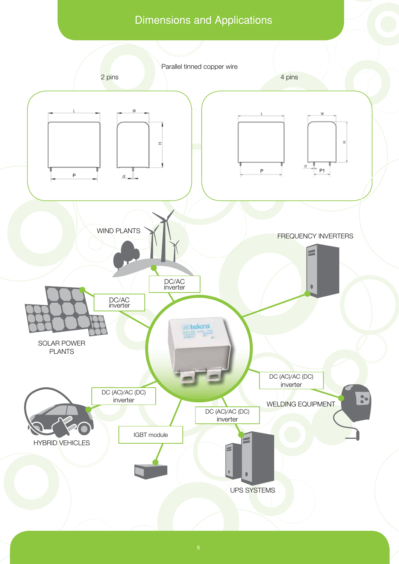### Dimensions and Applications

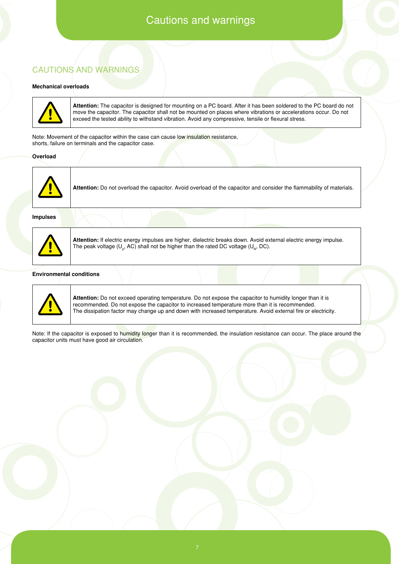### Cautions and warnings

#### Cautions and Warnings

#### **Mechanical overloads**



**Attention:** The capacitor is designed for mounting on a PC board. After it has been soldered to the PC board do not move the capacitor. The capacitor shall not be mounted on places where vibrations or accelerations occur. Do not exceed the tested ability to withstand vibration. Avoid any compressive, tensile or flexural stress.

Note: Movement of the capacitor within the case can cause low insulation resistance, shorts, failure on terminals and the capacitor case.

#### **Overload**



**Attention:** Do not overload the capacitor. Avoid overload of the capacitor and consider the flammability of materials.

**Impulses**



**Attention:** If electric energy impulses are higher, dielectric breaks down. Avoid external electric energy impulse. The peak voltage (U<sub>p</sub>, AC) shall not be higher than the rated DC voltage (U<sub>N</sub>, DC).

#### **Environmental conditions**



**Attention:** Do not exceed operating temperature. Do not expose the capacitor to humidity longer than it is recommended. Do not expose the capacitor to increased temperature more than it is recommended. The dissipation factor may change up and down with increased temperature. Avoid external fire or electricity.

Note: If the capacitor is exposed to humidity longer than it is recommended, the insulation resistance can occur. The place around the capacitor units must have good air circulation.